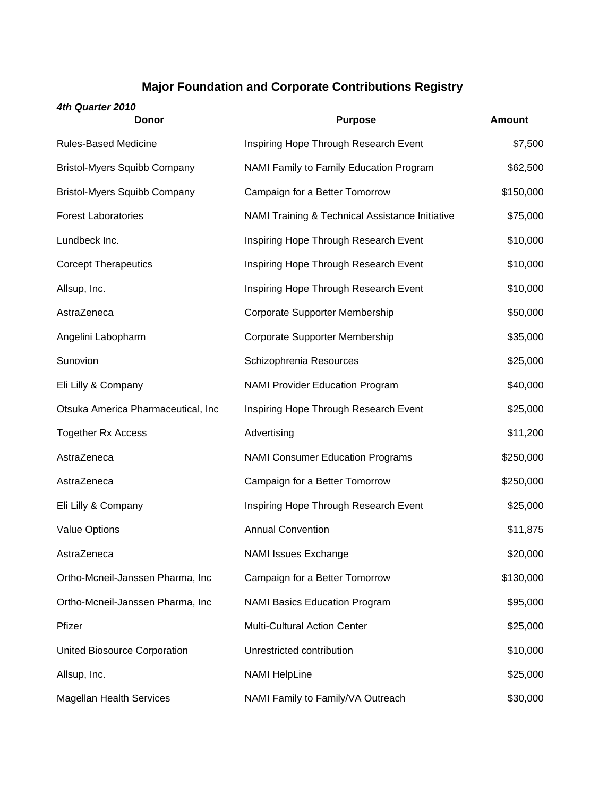## **Major Foundation and Corporate Contributions Registry**

| 4th Quarter 2010<br>Donor           | <b>Purpose</b>                                  | <b>Amount</b> |
|-------------------------------------|-------------------------------------------------|---------------|
| Rules-Based Medicine                | Inspiring Hope Through Research Event           | \$7,500       |
| <b>Bristol-Myers Squibb Company</b> | NAMI Family to Family Education Program         | \$62,500      |
| <b>Bristol-Myers Squibb Company</b> | Campaign for a Better Tomorrow                  | \$150,000     |
| <b>Forest Laboratories</b>          | NAMI Training & Technical Assistance Initiative | \$75,000      |
| Lundbeck Inc.                       | Inspiring Hope Through Research Event           | \$10,000      |
| <b>Corcept Therapeutics</b>         | Inspiring Hope Through Research Event           | \$10,000      |
| Allsup, Inc.                        | Inspiring Hope Through Research Event           | \$10,000      |
| AstraZeneca                         | Corporate Supporter Membership                  | \$50,000      |
| Angelini Labopharm                  | Corporate Supporter Membership                  | \$35,000      |
| Sunovion                            | Schizophrenia Resources                         | \$25,000      |
| Eli Lilly & Company                 | <b>NAMI Provider Education Program</b>          | \$40,000      |
| Otsuka America Pharmaceutical, Inc  | Inspiring Hope Through Research Event           | \$25,000      |
| <b>Together Rx Access</b>           | Advertising                                     | \$11,200      |
| AstraZeneca                         | <b>NAMI Consumer Education Programs</b>         | \$250,000     |
| AstraZeneca                         | Campaign for a Better Tomorrow                  | \$250,000     |
| Eli Lilly & Company                 | Inspiring Hope Through Research Event           | \$25,000      |
| <b>Value Options</b>                | <b>Annual Convention</b>                        | \$11,875      |
| AstraZeneca                         | <b>NAMI Issues Exchange</b>                     | \$20,000      |
| Ortho-Mcneil-Janssen Pharma, Inc    | Campaign for a Better Tomorrow                  | \$130,000     |
| Ortho-Mcneil-Janssen Pharma, Inc    | <b>NAMI Basics Education Program</b>            | \$95,000      |
| Pfizer                              | <b>Multi-Cultural Action Center</b>             | \$25,000      |
| United Biosource Corporation        | Unrestricted contribution                       | \$10,000      |
| Allsup, Inc.                        | <b>NAMI HelpLine</b>                            | \$25,000      |
|                                     |                                                 |               |

Magellan Health Services MAMI Family to Family/VA Outreach \$30,000